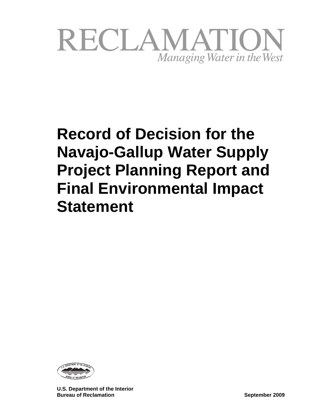

# **Record of Decision for the Navajo-Gallup Water Supply Project Planning Report and Final Environmental Impact Statement**



**U.S. Department of the Interior Bureau of Reclamation September 2009**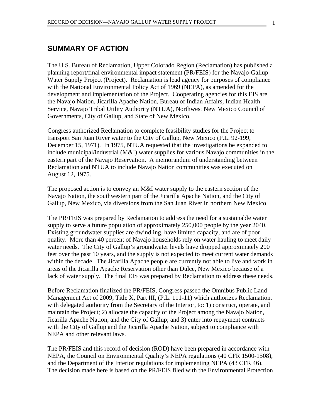# **SUMMARY OF ACTION**

The U.S. Bureau of Reclamation, Upper Colorado Region (Reclamation) has published a planning report/final environmental impact statement (PR/FEIS) for the Navajo-Gallup Water Supply Project (Project). Reclamation is lead agency for purposes of compliance with the National Environmental Policy Act of 1969 (NEPA), as amended for the development and implementation of the Project. Cooperating agencies for this EIS are the Navajo Nation, Jicarilla Apache Nation, Bureau of Indian Affairs, Indian Health Service, Navajo Tribal Utility Authority (NTUA), Northwest New Mexico Council of Governments, City of Gallup, and State of New Mexico.

Congress authorized Reclamation to complete feasibility studies for the Project to transport San Juan River water to the City of Gallup, New Mexico (P.L. 92-199, December 15, 1971). In 1975, NTUA requested that the investigations be expanded to include municipal/industrial (M&I) water supplies for various Navajo communities in the eastern part of the Navajo Reservation. A memorandum of understanding between Reclamation and NTUA to include Navajo Nation communities was executed on August 12, 1975.

The proposed action is to convey an M&I water supply to the eastern section of the Navajo Nation, the southwestern part of the Jicarilla Apache Nation, and the City of Gallup, New Mexico, via diversions from the San Juan River in northern New Mexico.

The PR/FEIS was prepared by Reclamation to address the need for a sustainable water supply to serve a future population of approximately 250,000 people by the year 2040. Existing groundwater supplies are dwindling, have limited capacity, and are of poor quality. More than 40 percent of Navajo households rely on water hauling to meet daily water needs. The City of Gallup's groundwater levels have dropped approximately 200 feet over the past 10 years, and the supply is not expected to meet current water demands within the decade. The Jicarilla Apache people are currently not able to live and work in areas of the Jicarilla Apache Reservation other than Dulce, New Mexico because of a lack of water supply. The final EIS was prepared by Reclamation to address these needs.

Before Reclamation finalized the PR/FEIS, Congress passed the Omnibus Public Land Management Act of 2009, Title X, Part III, (P.L. 111-11) which authorizes Reclamation, with delegated authority from the Secretary of the Interior, to: 1) construct, operate, and maintain the Project; 2) allocate the capacity of the Project among the Navajo Nation, Jicarilla Apache Nation, and the City of Gallup; and 3) enter into repayment contracts with the City of Gallup and the Jicarilla Apache Nation, subject to compliance with NEPA and other relevant laws.

The PR/FEIS and this record of decision (ROD) have been prepared in accordance with NEPA, the Council on Environmental Quality's NEPA regulations (40 CFR 1500-1508), and the Department of the Interior regulations for implementing NEPA (43 CFR 46). The decision made here is based on the PR/FEIS filed with the Environmental Protection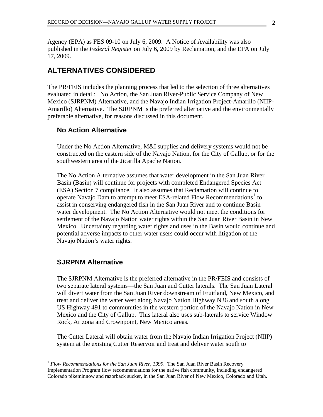Agency (EPA) as FES 09-10 on July 6, 2009. A Notice of Availability was also published in the *Federal Register* on July 6, 2009 by Reclamation, and the EPA on July 17, 2009.

# **ALTERNATIVES CONSIDERED**

The PR/FEIS includes the planning process that led to the selection of three alternatives evaluated in detail: No Action, the San Juan River-Public Service Company of New Mexico (SJRPNM) Alternative, and the Navajo Indian Irrigation Project-Amarillo (NIIP-Amarillo) Alternative. The SJRPNM is the preferred alternative and the environmentally preferable alternative, for reasons discussed in this document.

# **No Action Alternative**

Under the No Action Alternative, M&I supplies and delivery systems would not be constructed on the eastern side of the Navajo Nation, for the City of Gallup, or for the southwestern area of the Jicarilla Apache Nation.

The No Action Alternative assumes that water development in the San Juan River Basin (Basin) will continue for projects with completed Endangered Species Act (ESA) Section 7 compliance. It also assumes that Reclamation will continue to operate Navajo Dam to attempt to meet ESA-related Flow Recommendations<sup>[1](#page-2-0)</sup> to assist in conserving endangered fish in the San Juan River and to continue Basin water development. The No Action Alternative would not meet the conditions for settlement of the Navajo Nation water rights within the San Juan River Basin in New Mexico. Uncertainty regarding water rights and uses in the Basin would continue and potential adverse impacts to other water users could occur with litigation of the Navajo Nation's water rights.

# **SJRPNM Alternative**

The SJRPNM Alternative is the preferred alternative in the PR/FEIS and consists of two separate lateral systems—the San Juan and Cutter laterals. The San Juan Lateral will divert water from the San Juan River downstream of Fruitland, New Mexico, and treat and deliver the water west along Navajo Nation Highway N36 and south along US Highway 491 to communities in the western portion of the Navajo Nation in New Mexico and the City of Gallup. This lateral also uses sub-laterals to service Window Rock, Arizona and Crownpoint, New Mexico areas.

The Cutter Lateral will obtain water from the Navajo Indian Irrigation Project (NIIP) system at the existing Cutter Reservoir and treat and deliver water south to

<span id="page-2-0"></span> $\overline{a}$ <sup>1</sup> Flow Recommendations for the San Juan River, 1999. The San Juan River Basin Recovery Implementation Program flow recommendations for the native fish community, including endangered Colorado pikeminnow and razorback sucker, in the San Juan River of New Mexico, Colorado and Utah.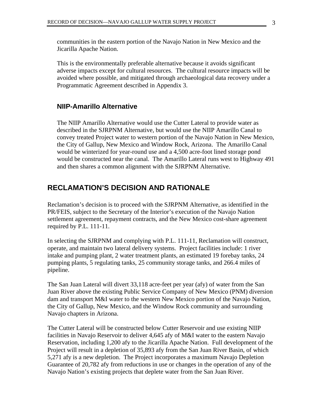communities in the eastern portion of the Navajo Nation in New Mexico and the Jicarilla Apache Nation.

This is the environmentally preferable alternative because it avoids significant adverse impacts except for cultural resources. The cultural resource impacts will be avoided where possible, and mitigated through archaeological data recovery under a Programmatic Agreement described in Appendix 3.

# **NIIP-Amarillo Alternative**

The NIIP Amarillo Alternative would use the Cutter Lateral to provide water as described in the SJRPNM Alternative, but would use the NIIP Amarillo Canal to convey treated Project water to western portion of the Navajo Nation in New Mexico, the City of Gallup, New Mexico and Window Rock, Arizona. The Amarillo Canal would be winterized for year-round use and a 4,500 acre-foot lined storage pond would be constructed near the canal. The Amarillo Lateral runs west to Highway 491 and then shares a common alignment with the SJRPNM Alternative.

# **RECLAMATION'S DECISION AND RATIONALE**

Reclamation's decision is to proceed with the SJRPNM Alternative, as identified in the PR/FEIS, subject to the Secretary of the Interior's execution of the Navajo Nation settlement agreement, repayment contracts, and the New Mexico cost-share agreement required by P.L. 111-11.

In selecting the SJRPNM and complying with P.L. 111-11, Reclamation will construct, operate, and maintain two lateral delivery systems. Project facilities include: 1 river intake and pumping plant, 2 water treatment plants, an estimated 19 forebay tanks, 24 pumping plants, 5 regulating tanks, 25 community storage tanks, and 266.4 miles of pipeline.

The San Juan Lateral will divert 33,118 acre-feet per year (afy) of water from the San Juan River above the existing Public Service Company of New Mexico (PNM) diversion dam and transport M&I water to the western New Mexico portion of the Navajo Nation, the City of Gallup, New Mexico, and the Window Rock community and surrounding Navajo chapters in Arizona.

The Cutter Lateral will be constructed below Cutter Reservoir and use existing NIIP facilities in Navajo Reservoir to deliver 4,645 afy of M&I water to the eastern Navajo Reservation, including 1,200 afy to the Jicarilla Apache Nation. Full development of the Project will result in a depletion of 35,893 afy from the San Juan River Basin, of which 5,271 afy is a new depletion. The Project incorporates a maximum Navajo Depletion Guarantee of 20,782 afy from reductions in use or changes in the operation of any of the Navajo Nation's existing projects that deplete water from the San Juan River.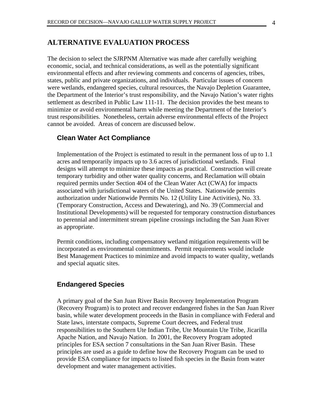# **ALTERNATIVE EVALUATION PROCESS**

The decision to select the SJRPNM Alternative was made after carefully weighing economic, social, and technical considerations, as well as the potentially significant environmental effects and after reviewing comments and concerns of agencies, tribes, states, public and private organizations, and individuals. Particular issues of concern were wetlands, endangered species, cultural resources, the Navajo Depletion Guarantee, the Department of the Interior's trust responsibility, and the Navajo Nation's water rights settlement as described in Public Law 111-11. The decision provides the best means to minimize or avoid environmental harm while meeting the Department of the Interior's trust responsibilities. Nonetheless, certain adverse environmental effects of the Project cannot be avoided. Areas of concern are discussed below.

# **Clean Water Act Compliance**

Implementation of the Project is estimated to result in the permanent loss of up to 1.1 acres and temporarily impacts up to 3.6 acres of jurisdictional wetlands. Final designs will attempt to minimize these impacts as practical. Construction will create temporary turbidity and other water quality concerns, and Reclamation will obtain required permits under Section 404 of the Clean Water Act (CWA) for impacts associated with jurisdictional waters of the United States. Nationwide permits authorization under Nationwide Permits No. 12 (Utility Line Activities), No. 33. (Temporary Construction, Access and Dewatering), and No. 39 (Commercial and Institutional Developments) will be requested for temporary construction disturbances to perennial and intermittent stream pipeline crossings including the San Juan River as appropriate.

Permit conditions, including compensatory wetland mitigation requirements will be incorporated as environmental commitments. Permit requirements would include Best Management Practices to minimize and avoid impacts to water quality, wetlands and special aquatic sites.

# **Endangered Species**

A primary goal of the San Juan River Basin Recovery Implementation Program (Recovery Program) is to protect and recover endangered fishes in the San Juan River basin, while water development proceeds in the Basin in compliance with Federal and State laws, interstate compacts, Supreme Court decrees, and Federal trust responsibilities to the Southern Ute Indian Tribe, Ute Mountain Ute Tribe, Jicarilla Apache Nation, and Navajo Nation. In 2001, the Recovery Program adopted principles for ESA section 7 consultations in the San Juan River Basin. These principles are used as a guide to define how the Recovery Program can be used to provide ESA compliance for impacts to listed fish species in the Basin from water development and water management activities.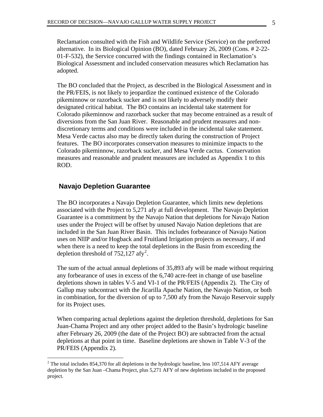Reclamation consulted with the Fish and Wildlife Service (Service) on the preferred alternative. In its Biological Opinion (BO), dated February 26, 2009 (Cons. # 2-22- 01-F-532), the Service concurred with the findings contained in Reclamation's Biological Assessment and included conservation measures which Reclamation has adopted.

The BO concluded that the Project, as described in the Biological Assessment and in the PR/FEIS, is not likely to jeopardize the continued existence of the Colorado pikeminnow or razorback sucker and is not likely to adversely modify their designated critical habitat. The BO contains an incidental take statement for Colorado pikeminnow and razorback sucker that may become entrained as a result of diversions from the San Juan River. Reasonable and prudent measures and nondiscretionary terms and conditions were included in the incidental take statement. Mesa Verde cactus also may be directly taken during the construction of Project features. The BO incorporates conservation measures to minimize impacts to the Colorado pikeminnow, razorback sucker, and Mesa Verde cactus. Conservation measures and reasonable and prudent measures are included as Appendix 1 to this ROD.

# **Navajo Depletion Guarantee**

 $\overline{a}$ 

The BO incorporates a Navajo Depletion Guarantee, which limits new depletions associated with the Project to 5,271 afy at full development. The Navajo Depletion Guarantee is a commitment by the Navajo Nation that depletions for Navajo Nation uses under the Project will be offset by unused Navajo Nation depletions that are included in the San Juan River Basin. This includes forbearance of Navajo Nation uses on NIIP and/or Hogback and Fruitland Irrigation projects as necessary, if and when there is a need to keep the total depletions in the Basin from exceeding the depletion threshold of  $752,127$  $752,127$  $752,127$  afy<sup>2</sup>.

The sum of the actual annual depletions of 35,893 afy will be made without requiring any forbearance of uses in excess of the 6,740 acre-feet in change of use baseline depletions shown in tables V-5 and VI-1 of the PR/FEIS (Appendix 2). The City of Gallup may subcontract with the Jicarilla Apache Nation, the Navajo Nation, or both in combination, for the diversion of up to 7,500 afy from the Navajo Reservoir supply for its Project uses.

When comparing actual depletions against the depletion threshold, depletions for San Juan-Chama Project and any other project added to the Basin's hydrologic baseline after February 26, 2009 (the date of the Project BO) are subtracted from the actual depletions at that point in time. Baseline depletions are shown in Table V-3 of the PR/FEIS (Appendix 2).

<span id="page-5-0"></span><sup>&</sup>lt;sup>2</sup> The total includes 854,370 for all depletions in the hydrologic baseline, less 107,514 AFY average depletion by the San Juan –Chama Project, plus 5,271 AFY of new depletions included in the proposed project.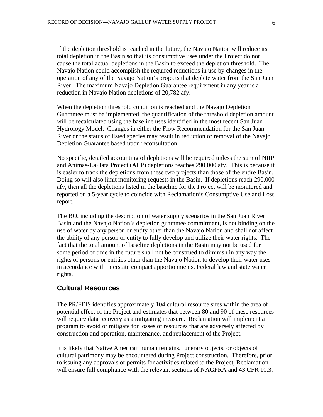If the depletion threshold is reached in the future, the Navajo Nation will reduce its total depletion in the Basin so that its consumptive uses under the Project do not cause the total actual depletions in the Basin to exceed the depletion threshold. The Navajo Nation could accomplish the required reductions in use by changes in the operation of any of the Navajo Nation's projects that deplete water from the San Juan River. The maximum Navajo Depletion Guarantee requirement in any year is a reduction in Navajo Nation depletions of 20,782 afy.

When the depletion threshold condition is reached and the Navajo Depletion Guarantee must be implemented, the quantification of the threshold depletion amount will be recalculated using the baseline uses identified in the most recent San Juan Hydrology Model. Changes in either the Flow Recommendation for the San Juan River or the status of listed species may result in reduction or removal of the Navajo Depletion Guarantee based upon reconsultation.

No specific, detailed accounting of depletions will be required unless the sum of NIIP and Animas-LaPlata Project (ALP) depletions reaches 290,000 afy. This is because it is easier to track the depletions from these two projects than those of the entire Basin. Doing so will also limit monitoring requests in the Basin. If depletions reach 290,000 afy, then all the depletions listed in the baseline for the Project will be monitored and reported on a 5-year cycle to coincide with Reclamation's Consumptive Use and Loss report.

The BO, including the description of water supply scenarios in the San Juan River Basin and the Navajo Nation's depletion guarantee commitment, is not binding on the use of water by any person or entity other than the Navajo Nation and shall not affect the ability of any person or entity to fully develop and utilize their water rights. The fact that the total amount of baseline depletions in the Basin may not be used for some period of time in the future shall not be construed to diminish in any way the rights of persons or entities other than the Navajo Nation to develop their water uses in accordance with interstate compact apportionments, Federal law and state water rights.

# **Cultural Resources**

The PR/FEIS identifies approximately 104 cultural resource sites within the area of potential effect of the Project and estimates that between 80 and 90 of these resources will require data recovery as a mitigating measure. Reclamation will implement a program to avoid or mitigate for losses of resources that are adversely affected by construction and operation, maintenance, and replacement of the Project.

It is likely that Native American human remains, funerary objects, or objects of cultural patrimony may be encountered during Project construction. Therefore, prior to issuing any approvals or permits for activities related to the Project, Reclamation will ensure full compliance with the relevant sections of NAGPRA and 43 CFR 10.3.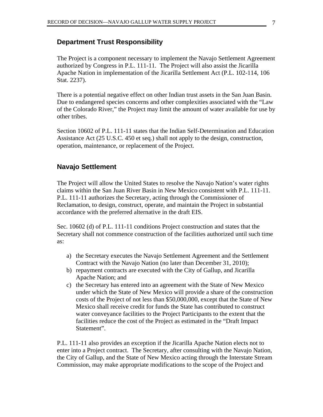# **Department Trust Responsibility**

The Project is a component necessary to implement the Navajo Settlement Agreement authorized by Congress in P.L. 111-11. The Project will also assist the Jicarilla Apache Nation in implementation of the Jicarilla Settlement Act (P.L. 102-114, 106 Stat. 2237).

There is a potential negative effect on other Indian trust assets in the San Juan Basin. Due to endangered species concerns and other complexities associated with the "Law of the Colorado River," the Project may limit the amount of water available for use by other tribes.

Section 10602 of P.L. 111-11 states that the Indian Self-Determination and Education Assistance Act (25 U.S.C. 450 et seq.) shall not apply to the design, construction, operation, maintenance, or replacement of the Project.

# **Navajo Settlement**

The Project will allow the United States to resolve the Navajo Nation's water rights claims within the San Juan River Basin in New Mexico consistent with P.L. 111-11. P.L. 111-11 authorizes the Secretary, acting through the Commissioner of Reclamation, to design, construct, operate, and maintain the Project in substantial accordance with the preferred alternative in the draft EIS.

Sec. 10602 (d) of P.L. 111-11 conditions Project construction and states that the Secretary shall not commence construction of the facilities authorized until such time as:

- a) the Secretary executes the Navajo Settlement Agreement and the Settlement Contract with the Navajo Nation (no later than December 31, 2010);
- b) repayment contracts are executed with the City of Gallup, and Jicarilla Apache Nation; and
- c) the Secretary has entered into an agreement with the State of New Mexico under which the State of New Mexico will provide a share of the construction costs of the Project of not less than \$50,000,000, except that the State of New Mexico shall receive credit for funds the State has contributed to construct water conveyance facilities to the Project Participants to the extent that the facilities reduce the cost of the Project as estimated in the "Draft Impact Statement".

P.L. 111-11 also provides an exception if the Jicarilla Apache Nation elects not to enter into a Project contract. The Secretary, after consulting with the Navajo Nation, the City of Gallup, and the State of New Mexico acting through the Interstate Stream Commission, may make appropriate modifications to the scope of the Project and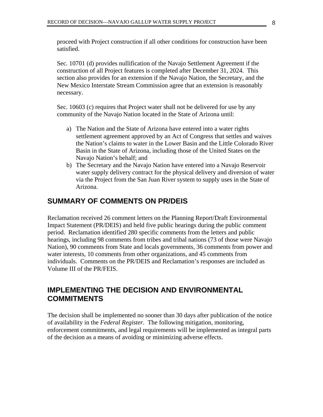proceed with Project construction if all other conditions for construction have been satisfied.

Sec. 10701 (d) provides nullification of the Navajo Settlement Agreement if the construction of all Project features is completed after December 31, 2024. This section also provides for an extension if the Navajo Nation, the Secretary, and the New Mexico Interstate Stream Commission agree that an extension is reasonably necessary.

Sec. 10603 (c) requires that Project water shall not be delivered for use by any community of the Navajo Nation located in the State of Arizona until:

- a) The Nation and the State of Arizona have entered into a water rights settlement agreement approved by an Act of Congress that settles and waives the Nation's claims to water in the Lower Basin and the Little Colorado River Basin in the State of Arizona, including those of the United States on the Navajo Nation's behalf; and
- b) The Secretary and the Navajo Nation have entered into a Navajo Reservoir water supply delivery contract for the physical delivery and diversion of water via the Project from the San Juan River system to supply uses in the State of Arizona.

# **SUMMARY OF COMMENTS ON PR/DEIS**

Reclamation received 26 comment letters on the Planning Report/Draft Environmental Impact Statement (PR/DEIS) and held five public hearings during the public comment period. Reclamation identified 280 specific comments from the letters and public hearings, including 98 comments from tribes and tribal nations (73 of those were Navajo Nation), 90 comments from State and locals governments, 36 comments from power and water interests, 10 comments from other organizations, and 45 comments from individuals. Comments on the PR/DEIS and Reclamation's responses are included as Volume III of the PR/FEIS.

# **IMPLEMENTING THE DECISION AND ENVIRONMENTAL COMMITMENTS**

The decision shall be implemented no sooner than 30 days after publication of the notice of availability in the *Federal Register*. The following mitigation, monitoring, enforcement commitments, and legal requirements will be implemented as integral parts of the decision as a means of avoiding or minimizing adverse effects.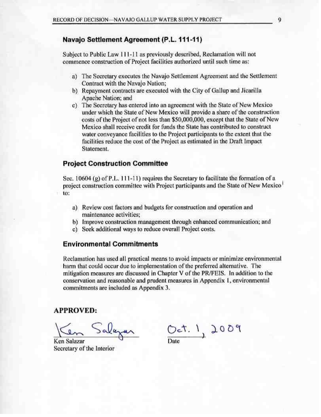# Navajo Settlement Agreement (P.L. 111-11)

Subject to Public Law 111-11 as previously described, Reclamation will not commence construction of Project facilities authorized until such time as:

- a) The Secretary executes the Navajo Settlement Agreement and the Settlement Contract with the Navajo Nation;
- b) Repayment contracts are executed with the City of Gallup and Jicarilla Apache Nation; and
- c) The Secretary has entered into an agreement with the State of New Mexico under which the State of New Mexico will provide a share of the construction costs of the Project of not less than \$50,000,000, except that the State of New Mexico shall receive credit for funds the State has contributed to construct water conveyance facilities to the Project participants to the extent that the facilities reduce the cost of the Project as estimated in the Draft Impact Statement.

#### **Project Construction Committee**

Sec. 10604 (g) of P.L. 111-11) requires the Secretary to facilitate the formation of a project construction committee with Project participants and the State of New Mexico to:

- a) Review cost factors and budgets for construction and operation and maintenance activities:
- b) Improve construction management through enhanced communication; and
- c) Seek additional ways to reduce overall Project costs.

#### **Environmental Commitments**

Reclamation has used all practical means to avoid impacts or minimize environmental harm that could occur due to implementation of the preferred alternative. The mitigation measures are discussed in Chapter V of the PR/FEIS. In addition to the conservation and reasonable and prudent measures in Appendix 1, environmental commitments are included as Appendix 3.

#### **APPROVED:**

en Salazar

Ken Salazar Secretary of the Interior

 $Oct.1,2009$ 

9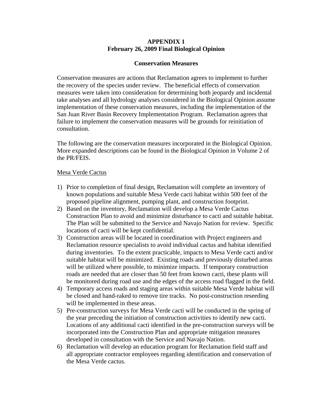# **APPENDIX 1 February 26, 2009 Final Biological Opinion**

#### **Conservation Measures**

Conservation measures are actions that Reclamation agrees to implement to further the recovery of the species under review. The beneficial effects of conservation measures were taken into consideration for determining both jeopardy and incidental take analyses and all hydrology analyses considered in the Biological Opinion assume implementation of these conservation measures, including the implementation of the San Juan River Basin Recovery Implementation Program. Reclamation agrees that failure to implement the conservation measures will be grounds for reinitiation of consultation.

The following are the conservation measures incorporated in the Biological Opinion. More expanded descriptions can be found in the Biological Opinion in Volume 2 of the PR/FEIS.

#### Mesa Verde Cactus

- 1) Prior to completion of final design, Reclamation will complete an inventory of known populations and suitable Mesa Verde cacti habitat within 500 feet of the proposed pipeline alignment, pumping plant, and construction footprint.
- 2) Based on the inventory, Reclamation will develop a Mesa Verde Cactus Construction Plan to avoid and minimize disturbance to cacti and suitable habitat. The Plan will be submitted to the Service and Navajo Nation for review. Specific locations of cacti will be kept confidential.
- 3) Construction areas will be located in coordination with Project engineers and Reclamation resource specialists to avoid individual cactus and habitat identified during inventories. To the extent practicable, impacts to Mesa Verde cacti and/or suitable habitat will be minimized. Existing roads and previously disturbed areas will be utilized where possible, to minimize impacts. If temporary construction roads are needed that are closer than 50 feet from known cacti, these plants will be monitored during road use and the edges of the access road flagged in the field.
- 4) Temporary access roads and staging areas within suitable Mesa Verde habitat will be closed and hand-raked to remove tire tracks. No post-construction reseeding will be implemented in these areas.
- 5) Pre-construction surveys for Mesa Verde cacti will be conducted in the spring of the year preceding the initiation of construction activities to identify new cacti. Locations of any additional cacti identified in the pre-construction surveys will be incorporated into the Construction Plan and appropriate mitigation measures developed in consultation with the Service and Navajo Nation.
- 6) Reclamation will develop an education program for Reclamation field staff and all appropriate contractor employees regarding identification and conservation of the Mesa Verde cactus.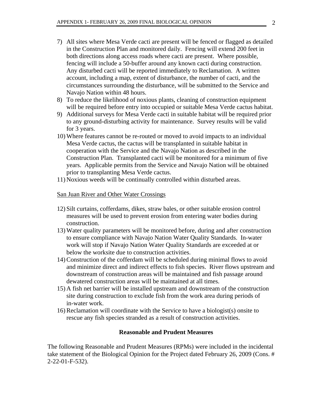- 7) All sites where Mesa Verde cacti are present will be fenced or flagged as detailed in the Construction Plan and monitored daily. Fencing will extend 200 feet in both directions along access roads where cacti are present. Where possible, fencing will include a 50-buffer around any known cacti during construction. Any disturbed cacti will be reported immediately to Reclamation. A written account, including a map, extent of disturbance, the number of cacti, and the circumstances surrounding the disturbance, will be submitted to the Service and Navajo Nation within 48 hours.
- 8) To reduce the likelihood of noxious plants, cleaning of construction equipment will be required before entry into occupied or suitable Mesa Verde cactus habitat.
- 9) Additional surveys for Mesa Verde cacti in suitable habitat will be required prior to any ground-disturbing activity for maintenance. Survey results will be valid for 3 years.
- 10) Where features cannot be re-routed or moved to avoid impacts to an individual Mesa Verde cactus, the cactus will be transplanted in suitable habitat in cooperation with the Service and the Navajo Nation as described in the Construction Plan. Transplanted cacti will be monitored for a minimum of five years. Applicable permits from the Service and Navajo Nation will be obtained prior to transplanting Mesa Verde cactus.
- 11) Noxious weeds will be continually controlled within disturbed areas.

#### San Juan River and Other Water Crossings

- 12) Silt curtains, cofferdams, dikes, straw bales, or other suitable erosion control measures will be used to prevent erosion from entering water bodies during construction.
- 13) Water quality parameters will be monitored before, during and after construction to ensure compliance with Navajo Nation Water Quality Standards. In-water work will stop if Navajo Nation Water Quality Standards are exceeded at or below the worksite due to construction activities.
- 14) Construction of the cofferdam will be scheduled during minimal flows to avoid and minimize direct and indirect effects to fish species. River flows upstream and downstream of construction areas will be maintained and fish passage around dewatered construction areas will be maintained at all times.
- 15) A fish net barrier will be installed upstream and downstream of the construction site during construction to exclude fish from the work area during periods of in-water work.
- 16) Reclamation will coordinate with the Service to have a biologist(s) onsite to rescue any fish species stranded as a result of construction activities.

# **Reasonable and Prudent Measures**

The following Reasonable and Prudent Measures (RPMs) were included in the incidental take statement of the Biological Opinion for the Project dated February 26, 2009 (Cons. # 2-22-01-F-532).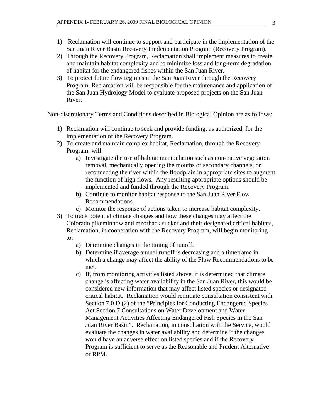- 1) Reclamation will continue to support and participate in the implementation of the San Juan River Basin Recovery Implementation Program (Recovery Program).
- 2) Through the Recovery Program, Reclamation shall implement measures to create and maintain habitat complexity and to minimize loss and long-term degradation of habitat for the endangered fishes within the San Juan River.
- 3) To protect future flow regimes in the San Juan River through the Recovery Program, Reclamation will be responsible for the maintenance and application of the San Juan Hydrology Model to evaluate proposed projects on the San Juan River.

Non-discretionary Terms and Conditions described in Biological Opinion are as follows:

- 1) Reclamation will continue to seek and provide funding, as authorized, for the implementation of the Recovery Program.
- 2) To create and maintain complex habitat, Reclamation, through the Recovery Program, will:
	- a) Investigate the use of habitat manipulation such as non-native vegetation removal, mechanically opening the mouths of secondary channels, or reconnecting the river within the floodplain in appropriate sites to augment the function of high flows. Any resulting appropriate options should be implemented and funded through the Recovery Program.
	- b) Continue to monitor habitat response to the San Juan River Flow Recommendations.
	- c) Monitor the response of actions taken to increase habitat complexity.
- 3) To track potential climate changes and how these changes may affect the Colorado pikeminnow and razorback sucker and their designated critical habitats, Reclamation, in cooperation with the Recovery Program, will begin monitoring to:
	- a) Determine changes in the timing of runoff.
	- b) Determine if average annual runoff is decreasing and a timeframe in which a change may affect the ability of the Flow Recommendations to be met.
	- c) If, from monitoring activities listed above, it is determined that climate change is affecting water availability in the San Juan River, this would be considered new information that may affect listed species or designated critical habitat. Reclamation would reinitiate consultation consistent with Section 7.0 D (2) of the "Principles for Conducting Endangered Species Act Section 7 Consultations on Water Development and Water Management Activities Affecting Endangered Fish Species in the San Juan River Basin". Reclamation, in consultation with the Service, would evaluate the changes in water availability and determine if the changes would have an adverse effect on listed species and if the Recovery Program is sufficient to serve as the Reasonable and Prudent Alternative or RPM.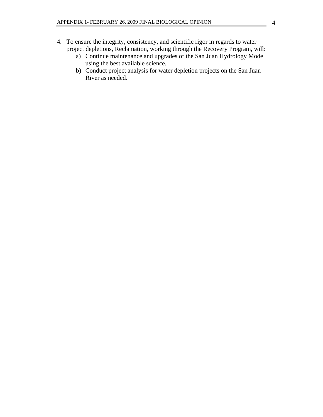# 4. To ensure the integrity, consistency, and scientific rigor in regards to water project depletions, Reclamation, working through the Recovery Program, will:

- a) Continue maintenance and upgrades of the San Juan Hydrology Model using the best available science.
- b) Conduct project analysis for water depletion projects on the San Juan River as needed.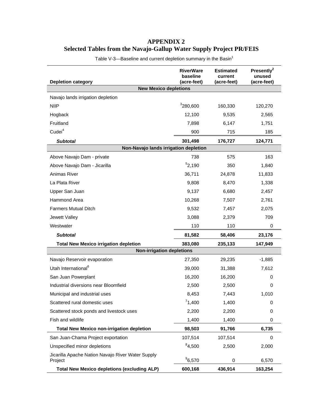# **APPENDIX 2 Selected Tables from the Navajo-Gallup Water Supply Project PR/FEIS**

| <b>Depletion category</b>                                    | <b>RiverWare</b><br>baseline<br>(acre-feet) | <b>Estimated</b><br>current<br>(acre-feet) | Presently <sup>2</sup><br>unused<br>(acre-feet) |  |  |
|--------------------------------------------------------------|---------------------------------------------|--------------------------------------------|-------------------------------------------------|--|--|
| <b>New Mexico depletions</b>                                 |                                             |                                            |                                                 |  |  |
| Navajo lands irrigation depletion                            |                                             |                                            |                                                 |  |  |
| <b>NIIP</b>                                                  | <sup>3</sup> 280,600                        | 160,330                                    | 120,270                                         |  |  |
| Hogback                                                      | 12,100                                      | 9,535                                      | 2,565                                           |  |  |
| Fruitland                                                    | 7,898                                       | 6,147                                      | 1,751                                           |  |  |
| Cudei <sup>4</sup>                                           | 900                                         | 715                                        | 185                                             |  |  |
| <b>Subtotal</b>                                              | 301,498                                     | 176,727                                    | 124,771                                         |  |  |
| Non-Navajo lands irrigation depletion                        |                                             |                                            |                                                 |  |  |
| Above Navajo Dam - private                                   | 738                                         | 575                                        | 163                                             |  |  |
| Above Navajo Dam - Jicarilla                                 | 52,190                                      | 350                                        | 1,840                                           |  |  |
| Animas River                                                 | 36,711                                      | 24,878                                     | 11,833                                          |  |  |
| La Plata River                                               | 9,808                                       | 8,470                                      | 1,338                                           |  |  |
| Upper San Juan                                               | 9,137                                       | 6,680                                      | 2,457                                           |  |  |
| Hammond Area                                                 | 10,268                                      | 7,507                                      | 2,761                                           |  |  |
| <b>Farmers Mutual Ditch</b>                                  | 9,532                                       | 7,457                                      | 2,075                                           |  |  |
| Jewett Valley                                                | 3,088                                       | 2,379                                      | 709                                             |  |  |
| Westwater                                                    | 110                                         | 110                                        | 0                                               |  |  |
| <b>Subtotal</b>                                              | 81,582                                      | 58,406                                     | 23,176                                          |  |  |
| <b>Total New Mexico irrigation depletion</b>                 | 383,080                                     | 235,133                                    | 147,949                                         |  |  |
| <b>Non-irrigation depletions</b>                             |                                             |                                            |                                                 |  |  |
| Navajo Reservoir evaporation                                 | 27,350                                      | 29,235                                     | $-1,885$                                        |  |  |
| Utah International <sup>6</sup>                              | 39,000                                      | 31,388                                     | 7,612                                           |  |  |
| San Juan Powerplant                                          | 16,200                                      | 16,200                                     | 0                                               |  |  |
| Industrial diversions near Bloomfield                        | 2,500                                       | 2,500                                      | 0                                               |  |  |
| Municipal and industrial uses                                | 8,453                                       | 7,443                                      | 1,010                                           |  |  |
| Scattered rural domestic uses                                | 71,400                                      | 1,400                                      | 0                                               |  |  |
| Scattered stock ponds and livestock uses                     | 2,200                                       | 2,200                                      | 0                                               |  |  |
| Fish and wildlife                                            | 1,400                                       | 1,400                                      | 0                                               |  |  |
| <b>Total New Mexico non-irrigation depletion</b>             | 98,503                                      | 91,766                                     | 6,735                                           |  |  |
| San Juan-Chama Project exportation                           | 107,514                                     | 107,514                                    | 0                                               |  |  |
| Unspecified minor depletions                                 | 84,500                                      | 2,500                                      | 2,000                                           |  |  |
| Jicarilla Apache Nation Navajo River Water Supply<br>Project | $^{9}6,570$                                 | 0                                          | 6,570                                           |  |  |
| <b>Total New Mexico depletions (excluding ALP)</b>           | 600,168                                     | 436,914                                    | 163,254                                         |  |  |

Table V-3-Baseline and current depletion summary in the Basin<sup>1</sup>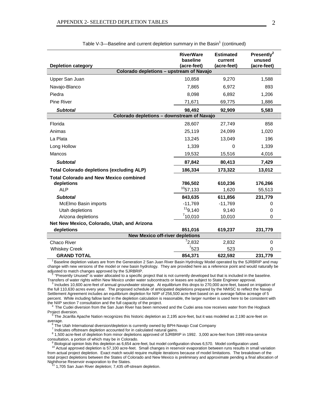| <b>Depletion category</b>                        | <b>RiverWare</b><br>baseline<br>(acre-feet) | <b>Estimated</b><br>current<br>(acre-feet) | Presently <sup>2</sup><br>unused<br>(acre-feet) |  |
|--------------------------------------------------|---------------------------------------------|--------------------------------------------|-------------------------------------------------|--|
| Colorado depletions - upstream of Navajo         |                                             |                                            |                                                 |  |
| Upper San Juan                                   | 10,858                                      | 9,270                                      | 1,588                                           |  |
| Navajo-Blanco                                    | 7,865                                       | 6,972                                      | 893                                             |  |
| Piedra                                           | 8,098                                       | 6,892                                      | 1,206                                           |  |
| <b>Pine River</b>                                | 71,671                                      | 69,775                                     | 1,886                                           |  |
| <b>Subtotal</b>                                  | 98,492                                      | 92,909                                     | 5,583                                           |  |
| Colorado depletions - downstream of Navajo       |                                             |                                            |                                                 |  |
| Florida                                          | 28,607                                      | 27,749                                     | 858                                             |  |
| Animas                                           | 25,119                                      | 24,099                                     | 1,020                                           |  |
| La Plata                                         | 13,245                                      | 13,049                                     | 196                                             |  |
| Long Hollow                                      | 1,339                                       | 0                                          | 1,339                                           |  |
| Mancos                                           | 19,532                                      | 15,516                                     | 4,016                                           |  |
| <b>Subtotal</b>                                  | 87,842                                      | 80,413                                     | 7,429                                           |  |
| <b>Total Colorado depletions (excluding ALP)</b> | 186,334                                     | 173,322                                    | 13,012                                          |  |
| <b>Total Colorado and New Mexico combined</b>    |                                             |                                            |                                                 |  |
| depletions<br><b>ALP</b>                         | 786,502<br>$10$ <sub>57,133</sub>           | 610,236<br>1,620                           | 176,266<br>55,513                               |  |
| <b>Subtotal</b>                                  | 843,635                                     | 611,856                                    | 231,779                                         |  |
| McElmo Basin imports                             | $-11,769$                                   | $-11,769$                                  | 0                                               |  |
| Utah depletions                                  | 119,140                                     | 9,140                                      | 0                                               |  |
| Arizona depletions                               | 710,010                                     | 10,010                                     | 0                                               |  |
| Net New Mexico, Colorado, Utah, and Arizona      |                                             |                                            |                                                 |  |
| depletions                                       | 851,016                                     | 619,237                                    | 231,779                                         |  |
| <b>New Mexico off-river depletions</b>           |                                             |                                            |                                                 |  |
| Chaco River                                      | 72,832                                      | 2,832                                      | $\Omega$                                        |  |
| <b>Whiskey Creek</b>                             | 7523                                        | 523                                        | 0                                               |  |
| <b>GRAND TOTAL</b>                               | 854,371                                     | 622,592                                    | 231,779                                         |  |

Table V-3—Baseline and current depletion summary in the Basin<sup>1</sup> (continued)

<sup>1</sup> Baseline depletion values are from the Generation 2 San Juan River Basin Hydrology Model operated by the SJRBRIP and may change with new versions of the model or new basin hydrology. They are provided here as a reference point and would naturally be adjusted to match changes approved by the SJRBRIP.

 2 "Presently Unused" is water allocated to a specific project that is not currently developed but that is included in the baseline. Transfers of water rights within New Mexico under water subcontracts or leases are subject to State Engineer approval.

<sup>3</sup> Includes 10,600 acre-feet of annual groundwater storage. At equilibrium this drops to 270,000 acre-feet, based on irrigation of the full 110,630 acres every year. The proposed schedule of anticipated depletions prepared by the NMISC to reflect the Navajo Settlement Agreement includes an equilibrium depletion for NIIP of 256,500 acre-feet based on an average fallow acreage of 5 percent. While including fallow land in the depletion calculation is reasonable, the larger number is used here to be consistent with the NIIP section 7 consultation and the full capacity of the project.

The Cudei diversion from the San Juan River has been removed and the Cudei area now receives water from the Hogback Project diversion.<br><sup>5</sup> The Jicarilla A

 The Jicarilla Apache Nation recognizes this historic depletion as 2,195 acre-feet, but it was modeled as 2,190 acre-feet on average.

 <sup>6</sup> The Utah International diversion/depletion is currently owned by BPH-Navajo Coal Company

<sup>7</sup> Indicates offstream depletion accounted for in calculated natural gains.

 <sup>8</sup> 1,500 acre-feet of depletion from minor depletions approved of SJRBRIP in 1992. 3,000 acre-feet from 1999 intra-service consultation, a portion of which may be in Colorado.

 <sup>9</sup> Biological opinion lists this depletion as 6,654 acre-feet, but model configuration shows 6,570. Model configuration used. <sup>10</sup> Actual approved depletion is 57,100 acre-feet. Small changes in reservoir evaporation between runs results in small variation from actual project depletion. Exact match would require multiple iterations because of model limitations. The breakdown of the total project depletions between the States of Colorado and New Mexico is preliminary and approximate pending a final allocation of

Nighthorse Reservoir evaporation to the States.<br><sup>11</sup> 1,705 San Juan River depletion; 7,435 off-stream depletion.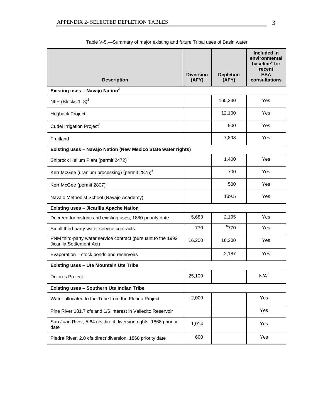|                                                                                           | <b>Diversion</b> | <b>Depletion</b> | Included in<br>environmental<br>baseline <sup>1</sup> for<br>recent<br><b>ESA</b> |  |  |
|-------------------------------------------------------------------------------------------|------------------|------------------|-----------------------------------------------------------------------------------|--|--|
| <b>Description</b>                                                                        | (AFY)            | (AFY)            | consultations                                                                     |  |  |
| Existing uses - Navajo Nation <sup>2</sup>                                                |                  |                  |                                                                                   |  |  |
| NIIP (Blocks $1-8$ ) <sup>3</sup>                                                         |                  | 160,330          | Yes                                                                               |  |  |
| Hogback Project                                                                           |                  | 12,100           | Yes                                                                               |  |  |
| Cudei Irrigation Project <sup>4</sup>                                                     |                  | 900              | Yes                                                                               |  |  |
| Fruitland                                                                                 |                  | 7,898            | Yes                                                                               |  |  |
| Existing uses - Navajo Nation (New Mexico State water rights)                             |                  |                  |                                                                                   |  |  |
| Shiprock Helium Plant (permit 2472) <sup>5</sup>                                          |                  | 1,400            | Yes                                                                               |  |  |
| Kerr McGee (uranium processing) (permit 2875) <sup>5</sup>                                |                  | 700              | Yes                                                                               |  |  |
| Kerr McGee (permit 2807) <sup>5</sup>                                                     |                  | 500              | Yes                                                                               |  |  |
| Navajo Methodist School (Navajo Academy)                                                  |                  | 139.5            | Yes                                                                               |  |  |
| <b>Existing uses - Jicarilla Apache Nation</b>                                            |                  |                  |                                                                                   |  |  |
| Decreed for historic and existing uses, 1880 priority date                                | 5,683            | 2,195            | Yes                                                                               |  |  |
| Small third-party water service contracts                                                 | 770              | 6770             | Yes                                                                               |  |  |
| PNM third-party water service contract (pursuant to the 1992<br>Jicarilla Settlement Act) | 16,200           | 16,200           | Yes                                                                               |  |  |
| Evaporation - stock ponds and reservoirs                                                  |                  | 2,187            | Yes                                                                               |  |  |
| <b>Existing uses - Ute Mountain Ute Tribe</b>                                             |                  |                  |                                                                                   |  |  |
| <b>Dolores Project</b>                                                                    | 25,100           |                  | $N/A^7$                                                                           |  |  |
| <b>Existing uses - Southern Ute Indian Tribe</b>                                          |                  |                  |                                                                                   |  |  |
| Water allocated to the Tribe from the Florida Project                                     | 2,000            |                  | Yes                                                                               |  |  |
| Pine River 181.7 cfs and 1/6 interest in Vallecito Reservoir                              |                  |                  | Yes                                                                               |  |  |
| San Juan River, 5.64 cfs direct diversion rights, 1868 priority<br>date                   | 1,014            |                  | Yes                                                                               |  |  |
| Piedra River, 2.0 cfs direct diversion, 1868 priority date                                | 600              |                  | Yes                                                                               |  |  |

Table V-5.—Summary of major existing and future Tribal uses of Basin water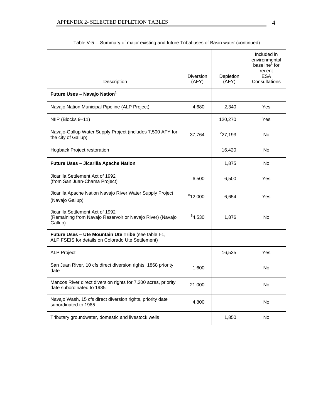|                                                                                                           | <b>Diversion</b> | Depletion | Included in<br>environmental<br>baseline <sup>1</sup> for<br>recent<br><b>ESA</b> |
|-----------------------------------------------------------------------------------------------------------|------------------|-----------|-----------------------------------------------------------------------------------|
| Description                                                                                               | (AFY)            | (AFY)     | Consultations                                                                     |
| Future Uses - Navajo Nation <sup>1</sup>                                                                  |                  |           |                                                                                   |
| Navajo Nation Municipal Pipeline (ALP Project)                                                            | 4,680            | 2,340     | Yes                                                                               |
| NIIP (Blocks 9-11)                                                                                        |                  | 120,270   | Yes                                                                               |
| Navajo-Gallup Water Supply Project (includes 7,500 AFY for<br>the city of Gallup)                         | 37,764           | 227,193   | No                                                                                |
| Hogback Project restoration                                                                               |                  | 16,420    | <b>No</b>                                                                         |
| Future Uses - Jicarilla Apache Nation                                                                     |                  | 1,875     | No                                                                                |
| Jicarilla Settlement Act of 1992<br>(from San Juan-Chama Project)                                         | 6,500            | 6,500     | Yes                                                                               |
| Jicarilla Apache Nation Navajo River Water Supply Project<br>(Navajo Gallup)                              | 812,000          | 6,654     | Yes                                                                               |
| Jicarilla Settlement Act of 1992<br>(Remaining from Navajo Reservoir or Navajo River) (Navajo<br>Gallup)  | 84,530           | 1,876     | No                                                                                |
| Future Uses - Ute Mountain Ute Tribe (see table I-1,<br>ALP FSEIS for details on Colorado Ute Settlement) |                  |           |                                                                                   |
| <b>ALP Project</b>                                                                                        |                  | 16,525    | Yes                                                                               |
| San Juan River, 10 cfs direct diversion rights, 1868 priority<br>date                                     | 1,600            |           | No                                                                                |
| Mancos River direct diversion rights for 7,200 acres, priority<br>date subordinated to 1985               | 21,000           |           | No                                                                                |
| Navajo Wash, 15 cfs direct diversion rights, priority date<br>subordinated to 1985                        | 4,800            |           | No                                                                                |
| Tributary groundwater, domestic and livestock wells                                                       |                  | 1,850     | No                                                                                |

Table V-5.—Summary of major existing and future Tribal uses of Basin water (continued)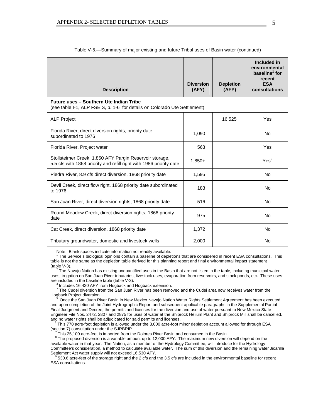| <b>Description</b> | <b>Diversion</b><br>(AFY) | <b>Depletion</b><br>(AFY) | Included in<br>environmental<br>baseline <sup>1</sup> for<br>recent<br><b>ESA</b><br>consultations |
|--------------------|---------------------------|---------------------------|----------------------------------------------------------------------------------------------------|
|--------------------|---------------------------|---------------------------|----------------------------------------------------------------------------------------------------|

 $\mathcal{L}$ 

#### Table V-5.—Summary of major existing and future Tribal uses of Basin water (continued)

#### **Future uses – Southern Ute Indian Tribe**

(see table I-1, ALP FSEIS, p. 1-6 for details on Colorado Ute Settlement)

| <b>ALP Project</b>                                                                                                             |          | 16,525 | Yes              |
|--------------------------------------------------------------------------------------------------------------------------------|----------|--------|------------------|
| Florida River, direct diversion rights, priority date<br>subordinated to 1976                                                  | 1,090    |        | No.              |
| Florida River, Project water                                                                                                   | 563      |        | Yes              |
| Stollsteimer Creek, 1,850 AFY Pargin Reservoir storage,<br>5.5 cfs with 1868 priority and refill right with 1986 priority date | $1,850+$ |        | Yes <sup>9</sup> |
| Piedra River, 8.9 cfs direct diversion, 1868 priority date                                                                     | 1,595    |        | No               |
| Devil Creek, direct flow right, 1868 priority date subordinated<br>to 1976                                                     | 183      |        | No.              |
| San Juan River, direct diversion rights, 1868 priority date                                                                    | 516      |        | No               |
| Round Meadow Creek, direct diversion rights, 1868 priority<br>date                                                             | 975      |        | No               |
| Cat Creek, direct diversion, 1868 priority date                                                                                | 1,372    |        | No.              |
| Tributary groundwater, domestic and livestock wells                                                                            | 2,000    |        | No               |

Note: Blank spaces indicate information not readily available.

 $\overline{1}$  The Service's biological opinions contain a baseline of depletions that are considered in recent ESA consultations. This table is not the same as the depletion table derived for this planning report and final environmental impact statement (table V-3).

 $\frac{1}{2}$  The Navajo Nation has existing unquantified uses in the Basin that are not listed in the table, including municipal water uses, irrigation on San Juan River tributaries, livestock uses, evaporation from reservoirs, and stock ponds, etc. These uses are included in the baseline table (table V-3).

<sup>3</sup> Includes 16,420 AFY from Hogback and Hogback extension.

Includes 16,420 AFT from the San Juan River has been removed and the Cudei area now receives water from the Hogback Project diversion

 5 Once the San Juan River Basin in New Mexico Navajo Nation Water Rights Settlement Agreement has been executed, and upon completion of the Joint Hydrographic Report and subsequent applicable paragraphs in the Supplemental Partial Final Judgment and Decree, the permits and licenses for the diversion and use of water pursuant to New Mexico State Engineer File Nos. 2472, 2807 and 2875 for uses of water at the Shiprock Helium Plant and Shiprock Mill shall be cancelled,

and no water rights shall be adjudicated for said permits and licenses.<br><sup>6</sup> This 770 acre-foot depletion is allowed under the 3,000 acre-foot minor depletion account allowed for through ESA (section 7) consultation under the SJRBRIP.

 $\frac{1}{2}$ This 25,100 acre-feet is imported from the Dolores River Basin and consumed in the Basin.

<sup>8</sup> The proposed diversion is a variable amount up to 12,000 AFY. The maximum new diversion will depend on the available water in that year. The Nation, as a member of the Hydrology Committee, will introduce for the Hydrology Committee's consideration, a method to calculate available water. The sum of this diversion and the remaining water Jicarilla Settlement Act water supply will not exceed 16,530 AFY.

<sup>9</sup> 530.6 acre-feet of the storage right and the 2 cfs and the 3.5 cfs are included in the environmental baseline for recent ESA consultations.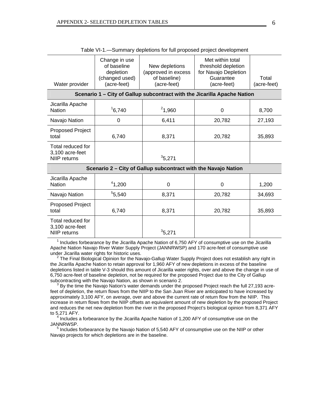| Water provider                                                           | Change in use<br>of baseline<br>depletion<br>(changed used)<br>(acre-feet) | New depletions<br>(approved in excess<br>of baseline)<br>(acre-feet) | Met within total<br>threshold depletion<br>for Navajo Depletion<br>Guarantee<br>(acre-feet) | Total<br>(acre-feet) |  |
|--------------------------------------------------------------------------|----------------------------------------------------------------------------|----------------------------------------------------------------------|---------------------------------------------------------------------------------------------|----------------------|--|
| Scenario 1 – City of Gallup subcontract with the Jicarilla Apache Nation |                                                                            |                                                                      |                                                                                             |                      |  |
| Jicarilla Apache<br><b>Nation</b>                                        | 16,740                                                                     | 21,960                                                               | 0                                                                                           | 8,700                |  |
| Navajo Nation                                                            | 0                                                                          | 6,411                                                                | 20,782                                                                                      | 27,193               |  |
| Proposed Project<br>total                                                | 6,740                                                                      | 8,371                                                                | 20,782                                                                                      | 35,893               |  |
| Total reduced for<br>3,100 acre-feet<br>NIIP returns                     |                                                                            | 35,271                                                               |                                                                                             |                      |  |
| Scenario 2 - City of Gallup subcontract with the Navajo Nation           |                                                                            |                                                                      |                                                                                             |                      |  |

| Table VI-1.-Summary depletions for full proposed project development |
|----------------------------------------------------------------------|
|----------------------------------------------------------------------|

| Scenario 2 – City of Gallup subcontract with the Navajo Nation |        |        |        |        |  |
|----------------------------------------------------------------|--------|--------|--------|--------|--|
| Jicarilla Apache<br>Nation                                     | 41,200 | 0      | 0      | 1,200  |  |
| Navajo Nation                                                  | 5,540  | 8,371  | 20,782 | 34,693 |  |
| Proposed Project<br>total                                      | 6,740  | 8,371  | 20,782 | 35,893 |  |
| Total reduced for<br>3,100 acre-feet<br>NIIP returns           |        | 35,271 |        |        |  |

<sup>1</sup> Includes forbearance by the Jicarilla Apache Nation of 6,750 AFY of consumptive use on the Jicarilla Apache Nation Navajo River Water Supply Project (JANNRWSP) and 170 acre-feet of consumptive use under Jicarilla water rights for historic uses.

<sup>2</sup> The Final Biological Opinion for the Navajo-Gallup Water Supply Project does not establish any right in the Jicarilla Apache Nation to retain approval for 1,960 AFY of new depletions in excess of the baseline depletions listed in table V-3 should this amount of Jicarilla water rights, over and above the change in use of 6,750 acre-feet of baseline depletion, not be required for the proposed Project due to the City of Gallup subcontracting with the Navajo Nation, as shown in scenario 2.

<sup>3</sup> By the time the Navajo Nation's water demands under the proposed Project reach the full 27,193 acrefeet of depletion, the return flows from the NIIP to the San Juan River are anticipated to have increased by approximately 3,100 AFY, on average, over and above the current rate of return flow from the NIIP. This increase in return flows from the NIIP offsets an equivalent amount of new depletion by the proposed Project and reduces the net new depletion from the river in the proposed Project's biological opinion from 8,371 AFY to 5,271 AFY.

 <sup>4</sup> Includes a forbearance by the Jicarilla Apache Nation of 1,200 AFY of consumptive use on the JANNRWSP.

<sup>5</sup> Includes forbearance by the Navajo Nation of 5,540 AFY of consumptive use on the NIIP or other Navajo projects for which depletions are in the baseline.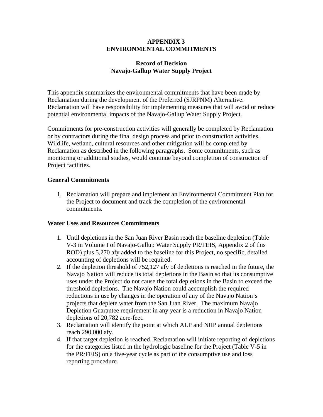# **APPENDIX 3 ENVIRONMENTAL COMMITMENTS**

# **Record of Decision Navajo-Gallup Water Supply Project**

This appendix summarizes the environmental commitments that have been made by Reclamation during the development of the Preferred (SJRPNM) Alternative. Reclamation will have responsibility for implementing measures that will avoid or reduce potential environmental impacts of the Navajo-Gallup Water Supply Project.

Commitments for pre-construction activities will generally be completed by Reclamation or by contractors during the final design process and prior to construction activities. Wildlife, wetland, cultural resources and other mitigation will be completed by Reclamation as described in the following paragraphs. Some commitments, such as monitoring or additional studies, would continue beyond completion of construction of Project facilities.

# **General Commitments**

1. Reclamation will prepare and implement an Environmental Commitment Plan for the Project to document and track the completion of the environmental commitments.

# **Water Uses and Resources Commitments**

- 1. Until depletions in the San Juan River Basin reach the baseline depletion (Table V-3 in Volume I of Navajo-Gallup Water Supply PR/FEIS, Appendix 2 of this ROD) plus 5,270 afy added to the baseline for this Project, no specific, detailed accounting of depletions will be required.
- 2. If the depletion threshold of 752,127 afy of depletions is reached in the future, the Navajo Nation will reduce its total depletions in the Basin so that its consumptive uses under the Project do not cause the total depletions in the Basin to exceed the threshold depletions. The Navajo Nation could accomplish the required reductions in use by changes in the operation of any of the Navajo Nation's projects that deplete water from the San Juan River. The maximum Navajo Depletion Guarantee requirement in any year is a reduction in Navajo Nation depletions of 20,782 acre-feet.
- 3. Reclamation will identify the point at which ALP and NIIP annual depletions reach 290,000 afy.
- 4. If that target depletion is reached, Reclamation will initiate reporting of depletions for the categories listed in the hydrologic baseline for the Project (Table V-5 in the PR/FEIS) on a five-year cycle as part of the consumptive use and loss reporting procedure.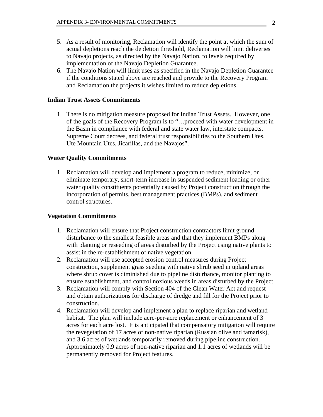- 5. As a result of monitoring, Reclamation will identify the point at which the sum of actual depletions reach the depletion threshold, Reclamation will limit deliveries to Navajo projects, as directed by the Navajo Nation, to levels required by implementation of the Navajo Depletion Guarantee.
- 6. The Navajo Nation will limit uses as specified in the Navajo Depletion Guarantee if the conditions stated above are reached and provide to the Recovery Program and Reclamation the projects it wishes limited to reduce depletions.

#### **Indian Trust Assets Commitments**

1. There is no mitigation measure proposed for Indian Trust Assets. However, one of the goals of the Recovery Program is to "…proceed with water development in the Basin in compliance with federal and state water law, interstate compacts, Supreme Court decrees, and federal trust responsibilities to the Southern Utes, Ute Mountain Utes, Jicarillas, and the Navajos".

#### **Water Quality Commitments**

1. Reclamation will develop and implement a program to reduce, minimize, or eliminate temporary, short-term increase in suspended sediment loading or other water quality constituents potentially caused by Project construction through the incorporation of permits, best management practices (BMPs), and sediment control structures.

#### **Vegetation Commitments**

- 1. Reclamation will ensure that Project construction contractors limit ground disturbance to the smallest feasible areas and that they implement BMPs along with planting or reseeding of areas disturbed by the Project using native plants to assist in the re-establishment of native vegetation.
- 2. Reclamation will use accepted erosion control measures during Project construction, supplement grass seeding with native shrub seed in upland areas where shrub cover is diminished due to pipeline disturbance, monitor planting to ensure establishment, and control noxious weeds in areas disturbed by the Project.
- 3. Reclamation will comply with Section 404 of the Clean Water Act and request and obtain authorizations for discharge of dredge and fill for the Project prior to construction.
- 4. Reclamation will develop and implement a plan to replace riparian and wetland habitat. The plan will include acre-per-acre replacement or enhancement of 3 acres for each acre lost. It is anticipated that compensatory mitigation will require the revegetation of 17 acres of non-native riparian (Russian olive and tamarisk), and 3.6 acres of wetlands temporarily removed during pipeline construction. Approximately 0.9 acres of non-native riparian and 1.1 acres of wetlands will be permanently removed for Project features.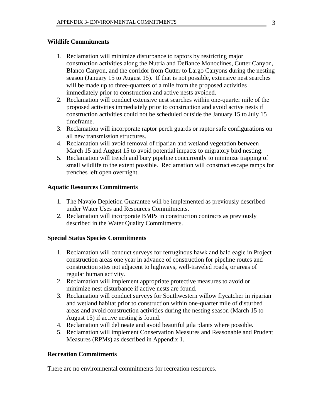# **Wildlife Commitments**

- 1. Reclamation will minimize disturbance to raptors by restricting major construction activities along the Nutria and Defiance Monoclines, Cutter Canyon, Blanco Canyon, and the corridor from Cutter to Largo Canyons during the nesting season (January 15 to August 15). If that is not possible, extensive nest searches will be made up to three-quarters of a mile from the proposed activities immediately prior to construction and active nests avoided.
- 2. Reclamation will conduct extensive nest searches within one-quarter mile of the proposed activities immediately prior to construction and avoid active nests if construction activities could not be scheduled outside the January 15 to July 15 timeframe.
- 3. Reclamation will incorporate raptor perch guards or raptor safe configurations on all new transmission structures.
- 4. Reclamation will avoid removal of riparian and wetland vegetation between March 15 and August 15 to avoid potential impacts to migratory bird nesting.
- 5. Reclamation will trench and bury pipeline concurrently to minimize trapping of small wildlife to the extent possible. Reclamation will construct escape ramps for trenches left open overnight.

# **Aquatic Resources Commitments**

- 1. The Navajo Depletion Guarantee will be implemented as previously described under Water Uses and Resources Commitments.
- 2. Reclamation will incorporate BMPs in construction contracts as previously described in the Water Quality Commitments.

# **Special Status Species Commitments**

- 1. Reclamation will conduct surveys for ferruginous hawk and bald eagle in Project construction areas one year in advance of construction for pipeline routes and construction sites not adjacent to highways, well-traveled roads, or areas of regular human activity.
- 2. Reclamation will implement appropriate protective measures to avoid or minimize nest disturbance if active nests are found.
- 3. Reclamation will conduct surveys for Southwestern willow flycatcher in riparian and wetland habitat prior to construction within one-quarter mile of disturbed areas and avoid construction activities during the nesting season (March 15 to August 15) if active nesting is found.
- 4. Reclamation will delineate and avoid beautiful gila plants where possible.
- 5. Reclamation will implement Conservation Measures and Reasonable and Prudent Measures (RPMs) as described in Appendix 1.

# **Recreation Commitments**

There are no environmental commitments for recreation resources.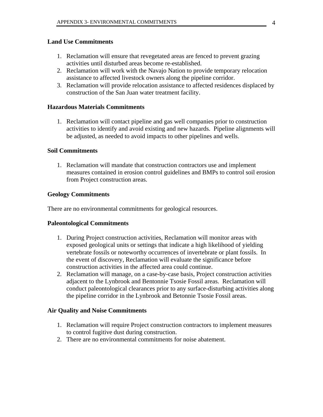# **Land Use Commitments**

- 1. Reclamation will ensure that revegetated areas are fenced to prevent grazing activities until disturbed areas become re-established.
- 2. Reclamation will work with the Navajo Nation to provide temporary relocation assistance to affected livestock owners along the pipeline corridor.
- 3. Reclamation will provide relocation assistance to affected residences displaced by construction of the San Juan water treatment facility.

# **Hazardous Materials Commitments**

1. Reclamation will contact pipeline and gas well companies prior to construction activities to identify and avoid existing and new hazards. Pipeline alignments will be adjusted, as needed to avoid impacts to other pipelines and wells.

# **Soil Commitments**

1. Reclamation will mandate that construction contractors use and implement measures contained in erosion control guidelines and BMPs to control soil erosion from Project construction areas.

# **Geology Commitments**

There are no environmental commitments for geological resources.

# **Paleontological Commitments**

- 1. During Project construction activities, Reclamation will monitor areas with exposed geological units or settings that indicate a high likelihood of yielding vertebrate fossils or noteworthy occurrences of invertebrate or plant fossils. In the event of discovery, Reclamation will evaluate the significance before construction activities in the affected area could continue.
- 2. Reclamation will manage, on a case-by-case basis, Project construction activities adjacent to the Lynbrook and Bentonnie Tsosie Fossil areas. Reclamation will conduct paleontological clearances prior to any surface-disturbing activities along the pipeline corridor in the Lynbrook and Betonnie Tsosie Fossil areas.

# **Air Quality and Noise Commitments**

- 1. Reclamation will require Project construction contractors to implement measures to control fugitive dust during construction.
- 2. There are no environmental commitments for noise abatement.